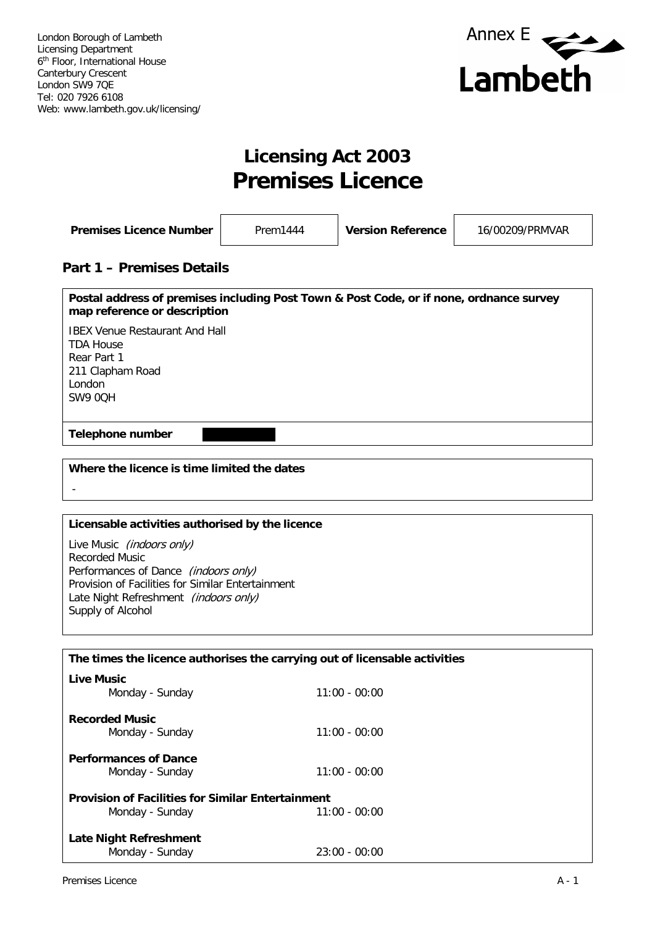

# **Licensing Act 2003 Premises Licence**

**Premises Licence Number** Prem1444 **Version Reference** 16/00209/PRMVAR

# **Part 1 – Premises Details**

**Postal address of premises including Post Town & Post Code, or if none, ordnance survey map reference or description** IBEX Venue Restaurant And Hall TDA House Rear Part 1 211 Clapham Road London SW9 0QH **Telephone number**

#### **Where the licence is time limited the dates**

-

#### **Licensable activities authorised by the licence**

Live Music (indoors only) Recorded Music Performances of Dance (indoors only) Provision of Facilities for Similar Entertainment Late Night Refreshment (indoors only) Supply of Alcohol

| The times the licence authorises the carrying out of licensable activities                     |                 |
|------------------------------------------------------------------------------------------------|-----------------|
| <b>Live Music</b><br>Monday - Sunday                                                           | $11:00 - 00:00$ |
| <b>Recorded Music</b><br>Monday - Sunday                                                       | $11:00 - 00:00$ |
| <b>Performances of Dance</b><br>Monday - Sunday                                                | $11:00 - 00:00$ |
| <b>Provision of Facilities for Similar Entertainment</b><br>$11:00 - 00:00$<br>Monday - Sunday |                 |
| Late Night Refreshment<br>Monday - Sunday                                                      | $23:00 - 00:00$ |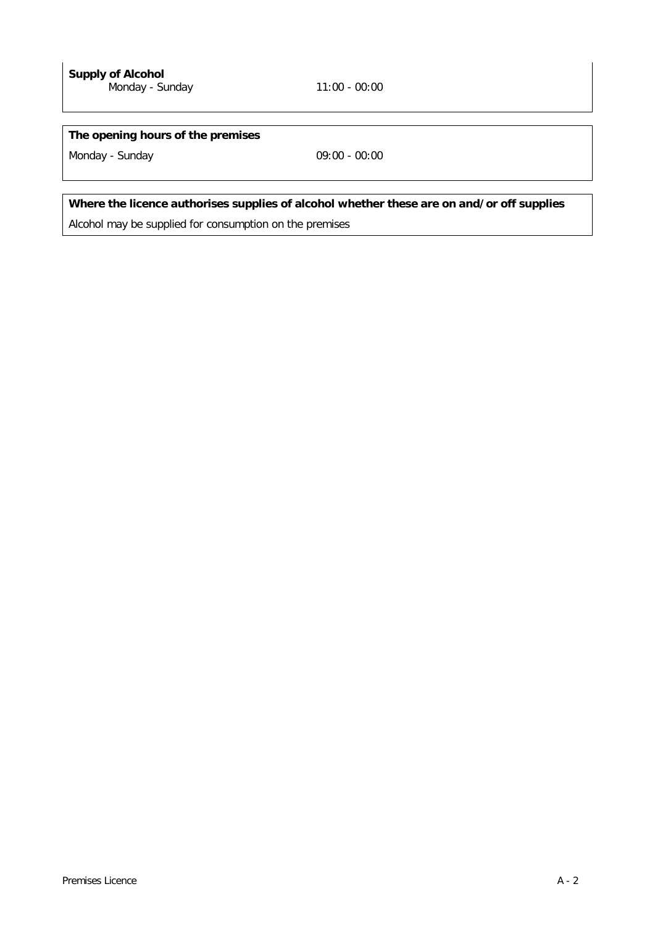# **The opening hours of the premises**

Monday - Sunday 2000 - 00:00

## **Where the licence authorises supplies of alcohol whether these are on and/or off supplies**

Alcohol may be supplied for consumption on the premises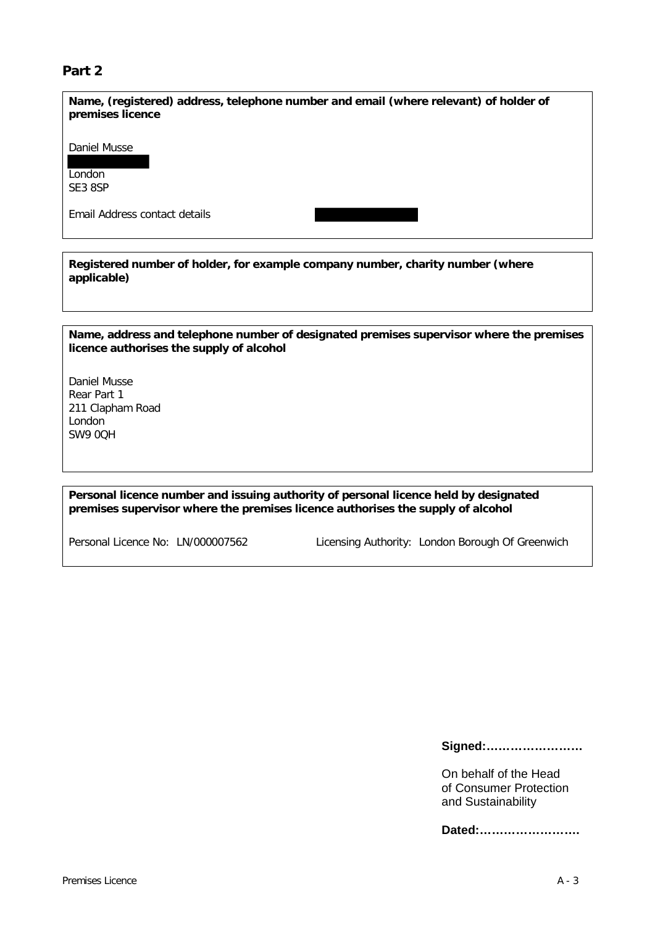# **Part 2**

**Name, (registered) address, telephone number and email (where relevant) of holder of premises licence**

Daniel Musse

**London** SE3 8SP

Email Address contact details

**Registered number of holder, for example company number, charity number (where applicable)**

**Name, address and telephone number of designated premises supervisor where the premises licence authorises the supply of alcohol**

Daniel Musse Rear Part 1 211 Clapham Road London SW9 0QH

**Personal licence number and issuing authority of personal licence held by designated premises supervisor where the premises licence authorises the supply of alcohol**

Personal Licence No: LN/000007562 Licensing Authority: London Borough Of Greenwich

**Signed:……………………**

On behalf of the Head of Consumer Protection and Sustainability

**Dated:…………………….**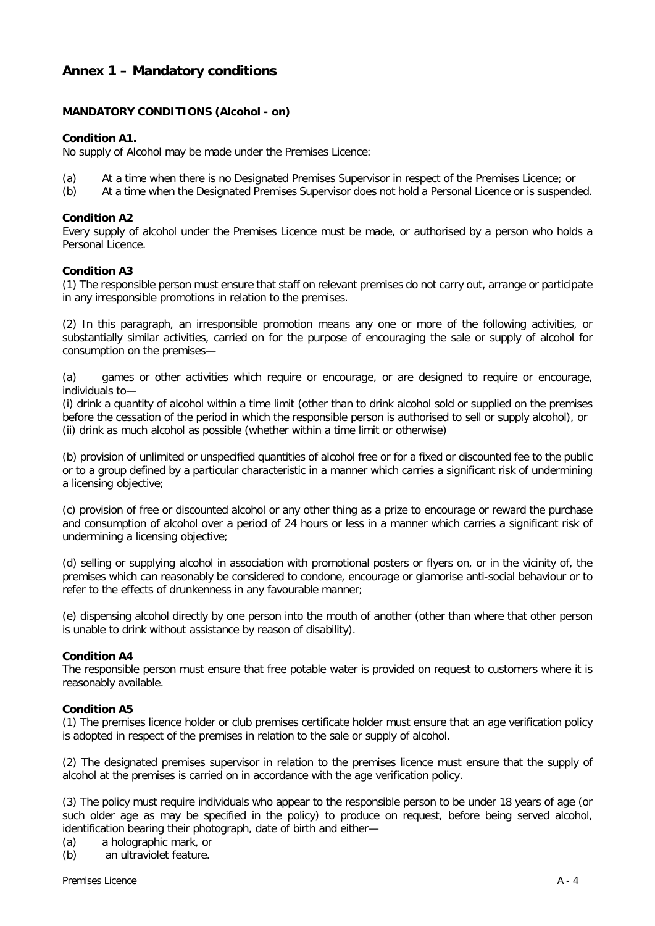# **Annex 1 – Mandatory conditions**

## **MANDATORY CONDITIONS (Alcohol - on)**

#### **Condition A1.**

No supply of Alcohol may be made under the Premises Licence:

- (a) At a time when there is no Designated Premises Supervisor in respect of the Premises Licence; or
- (b) At a time when the Designated Premises Supervisor does not hold a Personal Licence or is suspended.

#### **Condition A2**

Every supply of alcohol under the Premises Licence must be made, or authorised by a person who holds a Personal Licence.

#### **Condition A3**

(1) The responsible person must ensure that staff on relevant premises do not carry out, arrange or participate in any irresponsible promotions in relation to the premises.

(2) In this paragraph, an irresponsible promotion means any one or more of the following activities, or substantially similar activities, carried on for the purpose of encouraging the sale or supply of alcohol for consumption on the premises—

(a) games or other activities which require or encourage, or are designed to require or encourage, individuals to—

(i) drink a quantity of alcohol within a time limit (other than to drink alcohol sold or supplied on the premises before the cessation of the period in which the responsible person is authorised to sell or supply alcohol), or (ii) drink as much alcohol as possible (whether within a time limit or otherwise)

(b) provision of unlimited or unspecified quantities of alcohol free or for a fixed or discounted fee to the public or to a group defined by a particular characteristic in a manner which carries a significant risk of undermining a licensing objective;

(c) provision of free or discounted alcohol or any other thing as a prize to encourage or reward the purchase and consumption of alcohol over a period of 24 hours or less in a manner which carries a significant risk of undermining a licensing objective;

(d) selling or supplying alcohol in association with promotional posters or flyers on, or in the vicinity of, the premises which can reasonably be considered to condone, encourage or glamorise anti-social behaviour or to refer to the effects of drunkenness in any favourable manner;

(e) dispensing alcohol directly by one person into the mouth of another (other than where that other person is unable to drink without assistance by reason of disability).

#### **Condition A4**

The responsible person must ensure that free potable water is provided on request to customers where it is reasonably available.

#### **Condition A5**

(1) The premises licence holder or club premises certificate holder must ensure that an age verification policy is adopted in respect of the premises in relation to the sale or supply of alcohol.

(2) The designated premises supervisor in relation to the premises licence must ensure that the supply of alcohol at the premises is carried on in accordance with the age verification policy.

(3) The policy must require individuals who appear to the responsible person to be under 18 years of age (or such older age as may be specified in the policy) to produce on request, before being served alcohol, identification bearing their photograph, date of birth and either—

- (a) a holographic mark, or
- (b) an ultraviolet feature.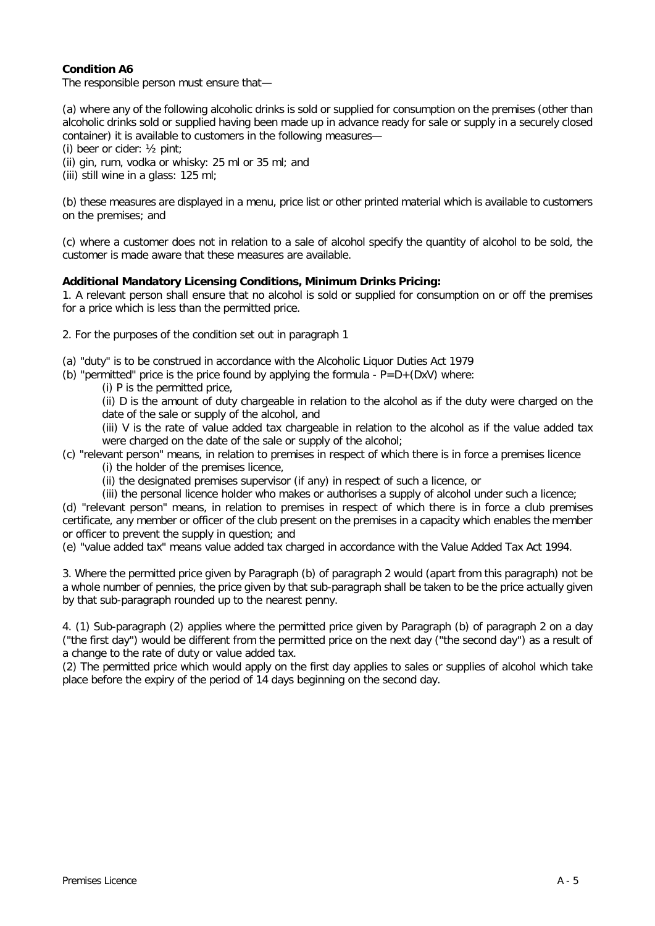## **Condition A6**

The responsible person must ensure that—

(a) where any of the following alcoholic drinks is sold or supplied for consumption on the premises (other than alcoholic drinks sold or supplied having been made up in advance ready for sale or supply in a securely closed container) it is available to customers in the following measures—

(i) beer or cider: ½ pint;

(ii) gin, rum, vodka or whisky: 25 ml or 35 ml; and

(iii) still wine in a glass: 125 ml;

(b) these measures are displayed in a menu, price list or other printed material which is available to customers on the premises; and

(c) where a customer does not in relation to a sale of alcohol specify the quantity of alcohol to be sold, the customer is made aware that these measures are available.

#### **Additional Mandatory Licensing Conditions, Minimum Drinks Pricing:**

1. A relevant person shall ensure that no alcohol is sold or supplied for consumption on or off the premises for a price which is less than the permitted price.

2. For the purposes of the condition set out in paragraph 1

(a) "duty" is to be construed in accordance with the Alcoholic Liquor Duties Act 1979

(b) "permitted" price is the price found by applying the formula -  $P=D+(DxV)$  where:

(i) P is the permitted price,

(ii) D is the amount of duty chargeable in relation to the alcohol as if the duty were charged on the date of the sale or supply of the alcohol, and

(iii) V is the rate of value added tax chargeable in relation to the alcohol as if the value added tax were charged on the date of the sale or supply of the alcohol;

- (c) "relevant person" means, in relation to premises in respect of which there is in force a premises licence (i) the holder of the premises licence,
	- (ii) the designated premises supervisor (if any) in respect of such a licence, or
	- (iii) the personal licence holder who makes or authorises a supply of alcohol under such a licence;

(d) "relevant person" means, in relation to premises in respect of which there is in force a club premises certificate, any member or officer of the club present on the premises in a capacity which enables the member or officer to prevent the supply in question; and

(e) "value added tax" means value added tax charged in accordance with the Value Added Tax Act 1994.

3. Where the permitted price given by Paragraph (b) of paragraph 2 would (apart from this paragraph) not be a whole number of pennies, the price given by that sub-paragraph shall be taken to be the price actually given by that sub-paragraph rounded up to the nearest penny.

4. (1) Sub-paragraph (2) applies where the permitted price given by Paragraph (b) of paragraph 2 on a day ("the first day") would be different from the permitted price on the next day ("the second day") as a result of a change to the rate of duty or value added tax.

(2) The permitted price which would apply on the first day applies to sales or supplies of alcohol which take place before the expiry of the period of 14 days beginning on the second day.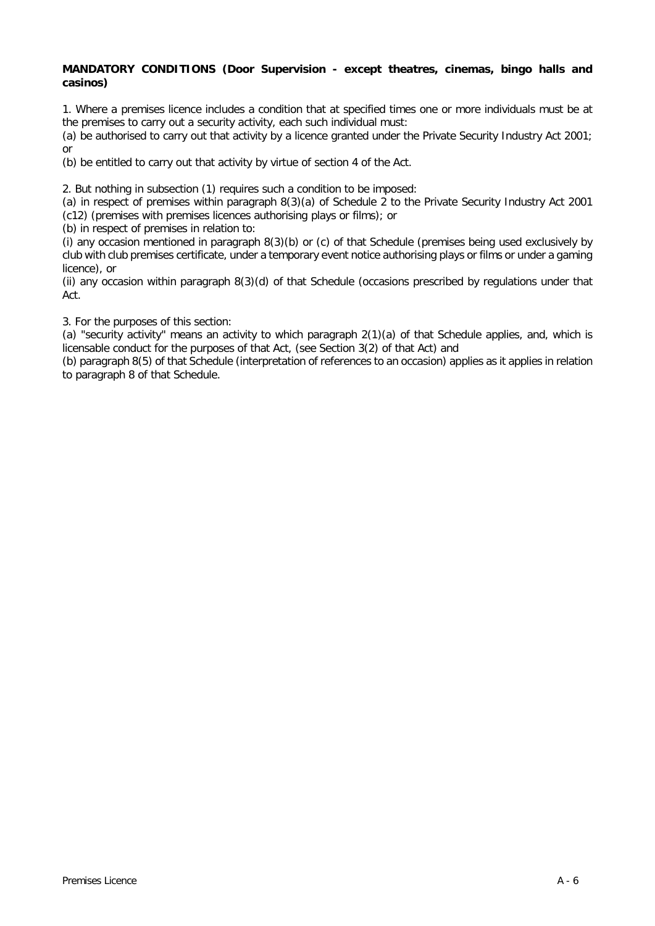#### **MANDATORY CONDITIONS (Door Supervision - except theatres, cinemas, bingo halls and casinos)**

1. Where a premises licence includes a condition that at specified times one or more individuals must be at the premises to carry out a security activity, each such individual must:

(a) be authorised to carry out that activity by a licence granted under the Private Security Industry Act 2001; or

(b) be entitled to carry out that activity by virtue of section 4 of the Act.

2. But nothing in subsection (1) requires such a condition to be imposed:

(a) in respect of premises within paragraph 8(3)(a) of Schedule 2 to the Private Security Industry Act 2001 (c12) (premises with premises licences authorising plays or films); or

(b) in respect of premises in relation to:

(i) any occasion mentioned in paragraph 8(3)(b) or (c) of that Schedule (premises being used exclusively by club with club premises certificate, under a temporary event notice authorising plays or films or under a gaming licence), or

(ii) any occasion within paragraph 8(3)(d) of that Schedule (occasions prescribed by regulations under that Act.

3. For the purposes of this section:

(a) "security activity" means an activity to which paragraph 2(1)(a) of that Schedule applies, and, which is licensable conduct for the purposes of that Act, (see Section 3(2) of that Act) and

(b) paragraph 8(5) of that Schedule (interpretation of references to an occasion) applies as it applies in relation to paragraph 8 of that Schedule.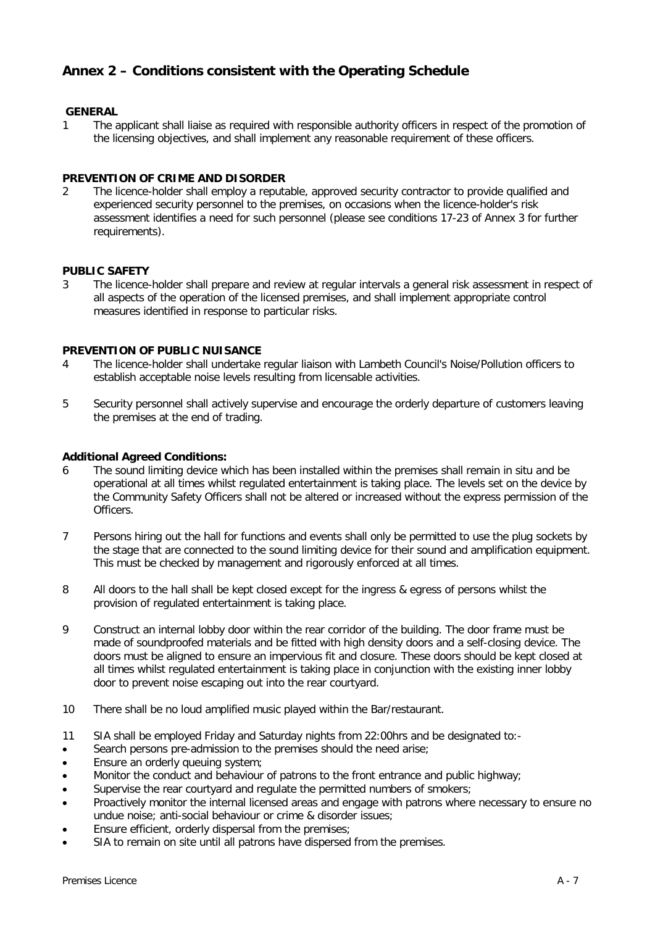# **Annex 2 – Conditions consistent with the Operating Schedule**

#### **GENERAL**

1 The applicant shall liaise as required with responsible authority officers in respect of the promotion of the licensing objectives, and shall implement any reasonable requirement of these officers.

#### **PREVENTION OF CRIME AND DISORDER**

2 The licence-holder shall employ a reputable, approved security contractor to provide qualified and experienced security personnel to the premises, on occasions when the licence-holder's risk assessment identifies a need for such personnel (please see conditions 17-23 of Annex 3 for further requirements).

#### **PUBLIC SAFETY**

3 The licence-holder shall prepare and review at regular intervals a general risk assessment in respect of all aspects of the operation of the licensed premises, and shall implement appropriate control measures identified in response to particular risks.

#### **PREVENTION OF PUBLIC NUISANCE**

- 4 The licence-holder shall undertake regular liaison with Lambeth Council's Noise/Pollution officers to establish acceptable noise levels resulting from licensable activities.
- 5 Security personnel shall actively supervise and encourage the orderly departure of customers leaving the premises at the end of trading.

#### **Additional Agreed Conditions:**

- 6 The sound limiting device which has been installed within the premises shall remain in situ and be operational at all times whilst regulated entertainment is taking place. The levels set on the device by the Community Safety Officers shall not be altered or increased without the express permission of the Officers.
- 7 Persons hiring out the hall for functions and events shall only be permitted to use the plug sockets by the stage that are connected to the sound limiting device for their sound and amplification equipment. This must be checked by management and rigorously enforced at all times.
- 8 All doors to the hall shall be kept closed except for the ingress & egress of persons whilst the provision of regulated entertainment is taking place.
- 9 Construct an internal lobby door within the rear corridor of the building. The door frame must be made of soundproofed materials and be fitted with high density doors and a self-closing device. The doors must be aligned to ensure an impervious fit and closure. These doors should be kept closed at all times whilst regulated entertainment is taking place in conjunction with the existing inner lobby door to prevent noise escaping out into the rear courtyard.
- 10 There shall be no loud amplified music played within the Bar/restaurant.
- 11 SIA shall be employed Friday and Saturday nights from 22:00hrs and be designated to:-
- Search persons pre-admission to the premises should the need arise;
- Ensure an orderly queuing system;
- Monitor the conduct and behaviour of patrons to the front entrance and public highway;
- Supervise the rear courtyard and regulate the permitted numbers of smokers;
- Proactively monitor the internal licensed areas and engage with patrons where necessary to ensure no undue noise; anti-social behaviour or crime & disorder issues;
- Ensure efficient, orderly dispersal from the premises;
- SIA to remain on site until all patrons have dispersed from the premises.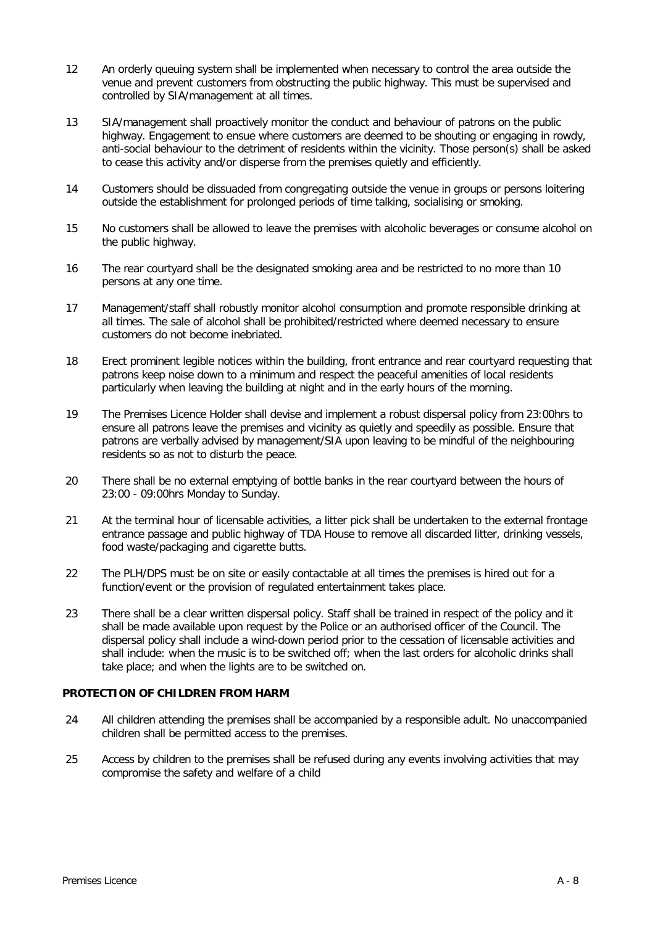- 12 An orderly queuing system shall be implemented when necessary to control the area outside the venue and prevent customers from obstructing the public highway. This must be supervised and controlled by SIA/management at all times.
- 13 SIA/management shall proactively monitor the conduct and behaviour of patrons on the public highway. Engagement to ensue where customers are deemed to be shouting or engaging in rowdy, anti-social behaviour to the detriment of residents within the vicinity. Those person(s) shall be asked to cease this activity and/or disperse from the premises quietly and efficiently.
- 14 Customers should be dissuaded from congregating outside the venue in groups or persons loitering outside the establishment for prolonged periods of time talking, socialising or smoking.
- 15 No customers shall be allowed to leave the premises with alcoholic beverages or consume alcohol on the public highway.
- 16 The rear courtyard shall be the designated smoking area and be restricted to no more than 10 persons at any one time.
- 17 Management/staff shall robustly monitor alcohol consumption and promote responsible drinking at all times. The sale of alcohol shall be prohibited/restricted where deemed necessary to ensure customers do not become inebriated.
- 18 Erect prominent legible notices within the building, front entrance and rear courtyard requesting that patrons keep noise down to a minimum and respect the peaceful amenities of local residents particularly when leaving the building at night and in the early hours of the morning.
- 19 The Premises Licence Holder shall devise and implement a robust dispersal policy from 23:00hrs to ensure all patrons leave the premises and vicinity as quietly and speedily as possible. Ensure that patrons are verbally advised by management/SIA upon leaving to be mindful of the neighbouring residents so as not to disturb the peace.
- 20 There shall be no external emptying of bottle banks in the rear courtyard between the hours of 23:00 - 09:00hrs Monday to Sunday.
- 21 At the terminal hour of licensable activities, a litter pick shall be undertaken to the external frontage entrance passage and public highway of TDA House to remove all discarded litter, drinking vessels, food waste/packaging and cigarette butts.
- 22 The PLH/DPS must be on site or easily contactable at all times the premises is hired out for a function/event or the provision of regulated entertainment takes place.
- 23 There shall be a clear written dispersal policy. Staff shall be trained in respect of the policy and it shall be made available upon request by the Police or an authorised officer of the Council. The dispersal policy shall include a wind-down period prior to the cessation of licensable activities and shall include: when the music is to be switched off; when the last orders for alcoholic drinks shall take place; and when the lights are to be switched on.

# **PROTECTION OF CHILDREN FROM HARM**

- 24 All children attending the premises shall be accompanied by a responsible adult. No unaccompanied children shall be permitted access to the premises.
- 25 Access by children to the premises shall be refused during any events involving activities that may compromise the safety and welfare of a child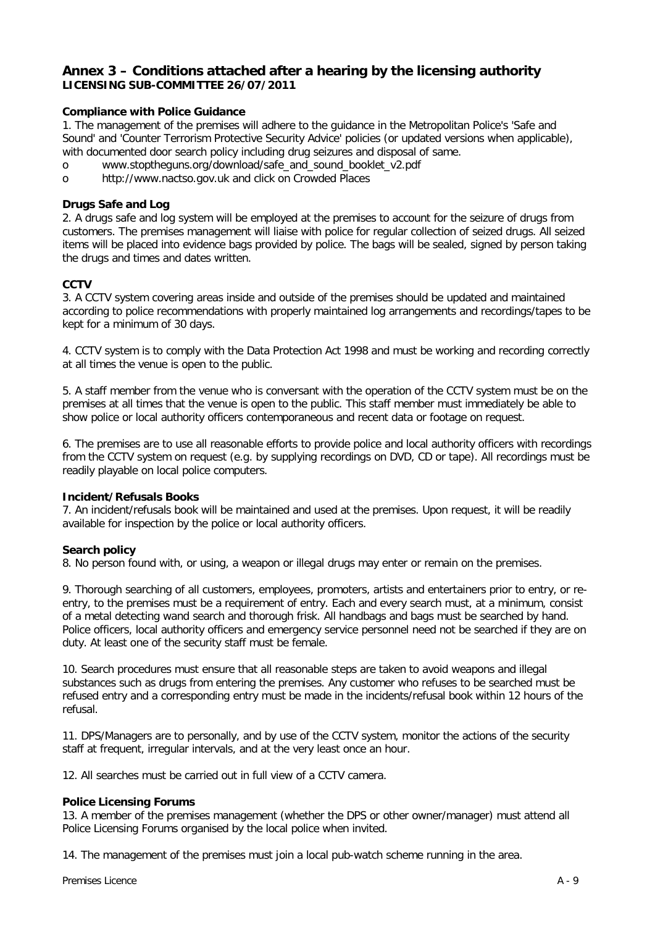# **Annex 3 – Conditions attached after a hearing by the licensing authority LICENSING SUB-COMMITTEE 26/07/2011**

#### **Compliance with Police Guidance**

1. The management of the premises will adhere to the guidance in the Metropolitan Police's 'Safe and Sound' and 'Counter Terrorism Protective Security Advice' policies (or updated versions when applicable), with documented door search policy including drug seizures and disposal of same.

- o www.stoptheguns.org/download/safe\_and\_sound\_booklet\_v2.pdf
- o http://www.nactso.gov.uk and click on Crowded Places

#### **Drugs Safe and Log**

2. A drugs safe and log system will be employed at the premises to account for the seizure of drugs from customers. The premises management will liaise with police for regular collection of seized drugs. All seized items will be placed into evidence bags provided by police. The bags will be sealed, signed by person taking the drugs and times and dates written.

#### **CCTV**

3. A CCTV system covering areas inside and outside of the premises should be updated and maintained according to police recommendations with properly maintained log arrangements and recordings/tapes to be kept for a minimum of 30 days.

4. CCTV system is to comply with the Data Protection Act 1998 and must be working and recording correctly at all times the venue is open to the public.

5. A staff member from the venue who is conversant with the operation of the CCTV system must be on the premises at all times that the venue is open to the public. This staff member must immediately be able to show police or local authority officers contemporaneous and recent data or footage on request.

6. The premises are to use all reasonable efforts to provide police and local authority officers with recordings from the CCTV system on request (e.g. by supplying recordings on DVD, CD or tape). All recordings must be readily playable on local police computers.

#### **Incident/Refusals Books**

7. An incident/refusals book will be maintained and used at the premises. Upon request, it will be readily available for inspection by the police or local authority officers.

## **Search policy**

8. No person found with, or using, a weapon or illegal drugs may enter or remain on the premises.

9. Thorough searching of all customers, employees, promoters, artists and entertainers prior to entry, or reentry, to the premises must be a requirement of entry. Each and every search must, at a minimum, consist of a metal detecting wand search and thorough frisk. All handbags and bags must be searched by hand. Police officers, local authority officers and emergency service personnel need not be searched if they are on duty. At least one of the security staff must be female.

10. Search procedures must ensure that all reasonable steps are taken to avoid weapons and illegal substances such as drugs from entering the premises. Any customer who refuses to be searched must be refused entry and a corresponding entry must be made in the incidents/refusal book within 12 hours of the refusal.

11. DPS/Managers are to personally, and by use of the CCTV system, monitor the actions of the security staff at frequent, irregular intervals, and at the very least once an hour.

12. All searches must be carried out in full view of a CCTV camera.

#### **Police Licensing Forums**

13. A member of the premises management (whether the DPS or other owner/manager) must attend all Police Licensing Forums organised by the local police when invited.

14. The management of the premises must join a local pub-watch scheme running in the area.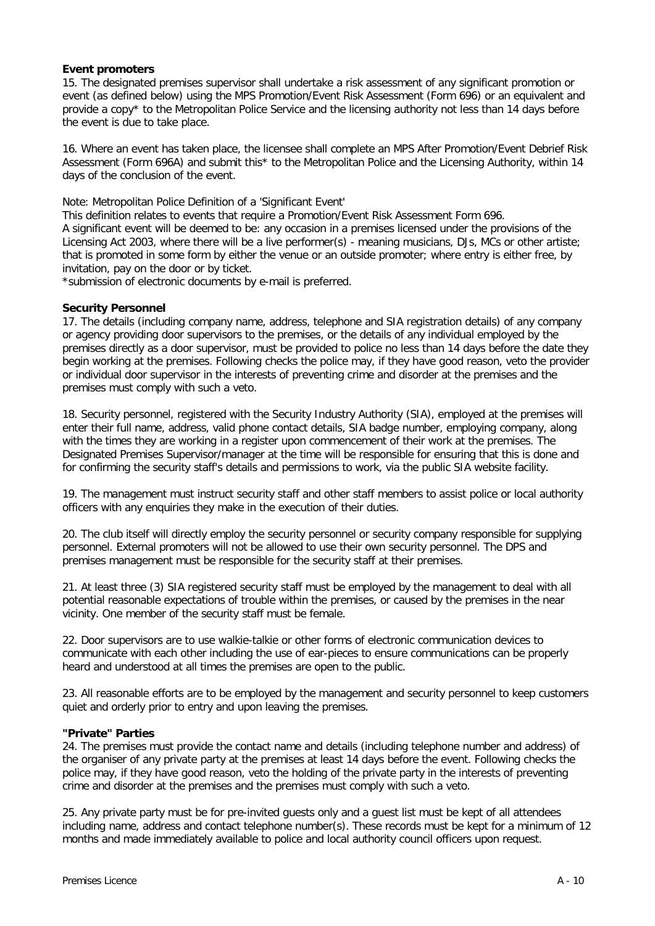#### **Event promoters**

15. The designated premises supervisor shall undertake a risk assessment of any significant promotion or event (as defined below) using the MPS Promotion/Event Risk Assessment (Form 696) or an equivalent and provide a copy\* to the Metropolitan Police Service and the licensing authority not less than 14 days before the event is due to take place.

16. Where an event has taken place, the licensee shall complete an MPS After Promotion/Event Debrief Risk Assessment (Form 696A) and submit this\* to the Metropolitan Police and the Licensing Authority, within 14 days of the conclusion of the event.

Note: Metropolitan Police Definition of a 'Significant Event'

This definition relates to events that require a Promotion/Event Risk Assessment Form 696. A significant event will be deemed to be: any occasion in a premises licensed under the provisions of the Licensing Act 2003, where there will be a live performer(s) - meaning musicians, DJs, MCs or other artiste; that is promoted in some form by either the venue or an outside promoter; where entry is either free, by invitation, pay on the door or by ticket.

\*submission of electronic documents by e-mail is preferred.

#### **Security Personnel**

17. The details (including company name, address, telephone and SIA registration details) of any company or agency providing door supervisors to the premises, or the details of any individual employed by the premises directly as a door supervisor, must be provided to police no less than 14 days before the date they begin working at the premises. Following checks the police may, if they have good reason, veto the provider or individual door supervisor in the interests of preventing crime and disorder at the premises and the premises must comply with such a veto.

18. Security personnel, registered with the Security Industry Authority (SIA), employed at the premises will enter their full name, address, valid phone contact details, SIA badge number, employing company, along with the times they are working in a register upon commencement of their work at the premises. The Designated Premises Supervisor/manager at the time will be responsible for ensuring that this is done and for confirming the security staff's details and permissions to work, via the public SIA website facility.

19. The management must instruct security staff and other staff members to assist police or local authority officers with any enquiries they make in the execution of their duties.

20. The club itself will directly employ the security personnel or security company responsible for supplying personnel. External promoters will not be allowed to use their own security personnel. The DPS and premises management must be responsible for the security staff at their premises.

21. At least three (3) SIA registered security staff must be employed by the management to deal with all potential reasonable expectations of trouble within the premises, or caused by the premises in the near vicinity. One member of the security staff must be female.

22. Door supervisors are to use walkie-talkie or other forms of electronic communication devices to communicate with each other including the use of ear-pieces to ensure communications can be properly heard and understood at all times the premises are open to the public.

23. All reasonable efforts are to be employed by the management and security personnel to keep customers quiet and orderly prior to entry and upon leaving the premises.

## **"Private" Parties**

24. The premises must provide the contact name and details (including telephone number and address) of the organiser of any private party at the premises at least 14 days before the event. Following checks the police may, if they have good reason, veto the holding of the private party in the interests of preventing crime and disorder at the premises and the premises must comply with such a veto.

25. Any private party must be for pre-invited guests only and a guest list must be kept of all attendees including name, address and contact telephone number(s). These records must be kept for a minimum of 12 months and made immediately available to police and local authority council officers upon request.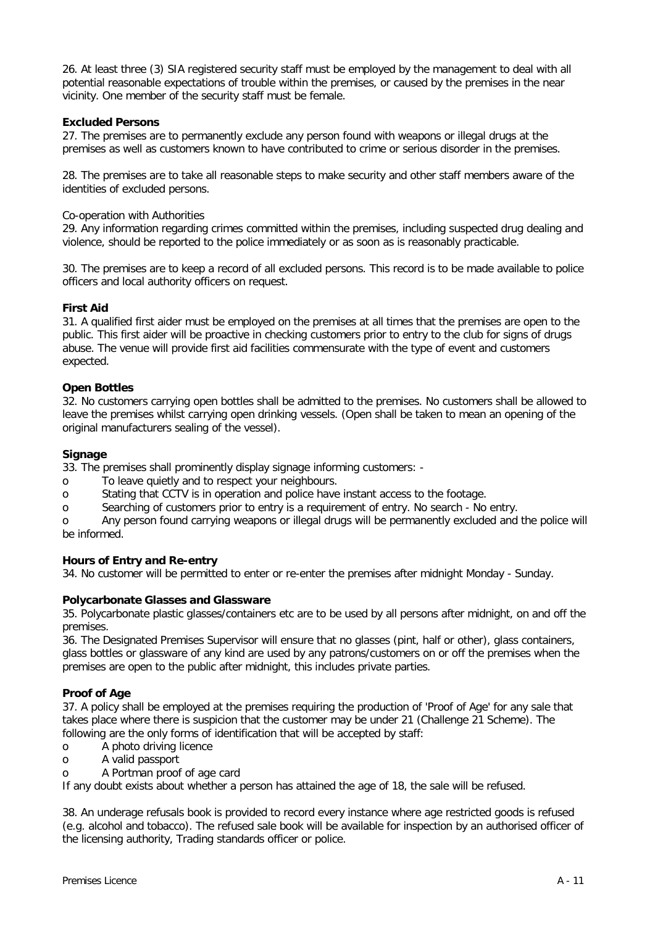26. At least three (3) SIA registered security staff must be employed by the management to deal with all potential reasonable expectations of trouble within the premises, or caused by the premises in the near vicinity. One member of the security staff must be female.

#### **Excluded Persons**

27. The premises are to permanently exclude any person found with weapons or illegal drugs at the premises as well as customers known to have contributed to crime or serious disorder in the premises.

28. The premises are to take all reasonable steps to make security and other staff members aware of the identities of excluded persons.

#### Co-operation with Authorities

29. Any information regarding crimes committed within the premises, including suspected drug dealing and violence, should be reported to the police immediately or as soon as is reasonably practicable.

30. The premises are to keep a record of all excluded persons. This record is to be made available to police officers and local authority officers on request.

#### **First Aid**

31. A qualified first aider must be employed on the premises at all times that the premises are open to the public. This first aider will be proactive in checking customers prior to entry to the club for signs of drugs abuse. The venue will provide first aid facilities commensurate with the type of event and customers expected.

## **Open Bottles**

32. No customers carrying open bottles shall be admitted to the premises. No customers shall be allowed to leave the premises whilst carrying open drinking vessels. (Open shall be taken to mean an opening of the original manufacturers sealing of the vessel).

## **Signage**

33. The premises shall prominently display signage informing customers: -

- o To leave quietly and to respect your neighbours.
- o Stating that CCTV is in operation and police have instant access to the footage.
- o Searching of customers prior to entry is a requirement of entry. No search No entry.

o Any person found carrying weapons or illegal drugs will be permanently excluded and the police will be informed.

#### **Hours of Entry and Re-entry**

34. No customer will be permitted to enter or re-enter the premises after midnight Monday - Sunday.

#### **Polycarbonate Glasses and Glassware**

35. Polycarbonate plastic glasses/containers etc are to be used by all persons after midnight, on and off the premises.

36. The Designated Premises Supervisor will ensure that no glasses (pint, half or other), glass containers, glass bottles or glassware of any kind are used by any patrons/customers on or off the premises when the premises are open to the public after midnight, this includes private parties.

#### **Proof of Age**

37. A policy shall be employed at the premises requiring the production of 'Proof of Age' for any sale that takes place where there is suspicion that the customer may be under 21 (Challenge 21 Scheme). The following are the only forms of identification that will be accepted by staff:

- o A photo driving licence
- o A valid passport
- o A Portman proof of age card

If any doubt exists about whether a person has attained the age of 18, the sale will be refused.

38. An underage refusals book is provided to record every instance where age restricted goods is refused (e.g. alcohol and tobacco). The refused sale book will be available for inspection by an authorised officer of the licensing authority, Trading standards officer or police.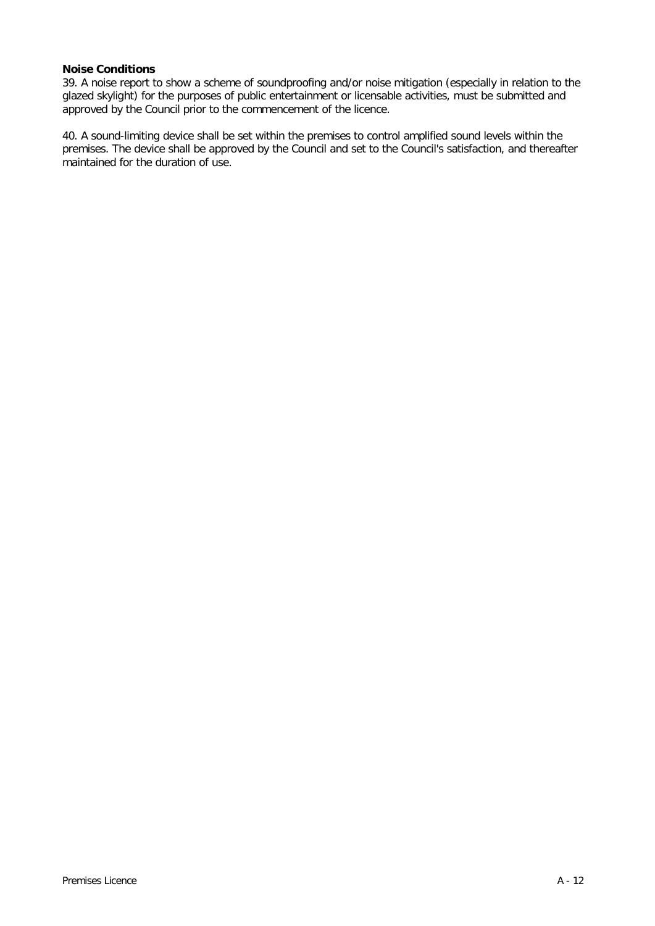## **Noise Conditions**

39. A noise report to show a scheme of soundproofing and/or noise mitigation (especially in relation to the glazed skylight) for the purposes of public entertainment or licensable activities, must be submitted and approved by the Council prior to the commencement of the licence.

40. A sound-limiting device shall be set within the premises to control amplified sound levels within the premises. The device shall be approved by the Council and set to the Council's satisfaction, and thereafter maintained for the duration of use.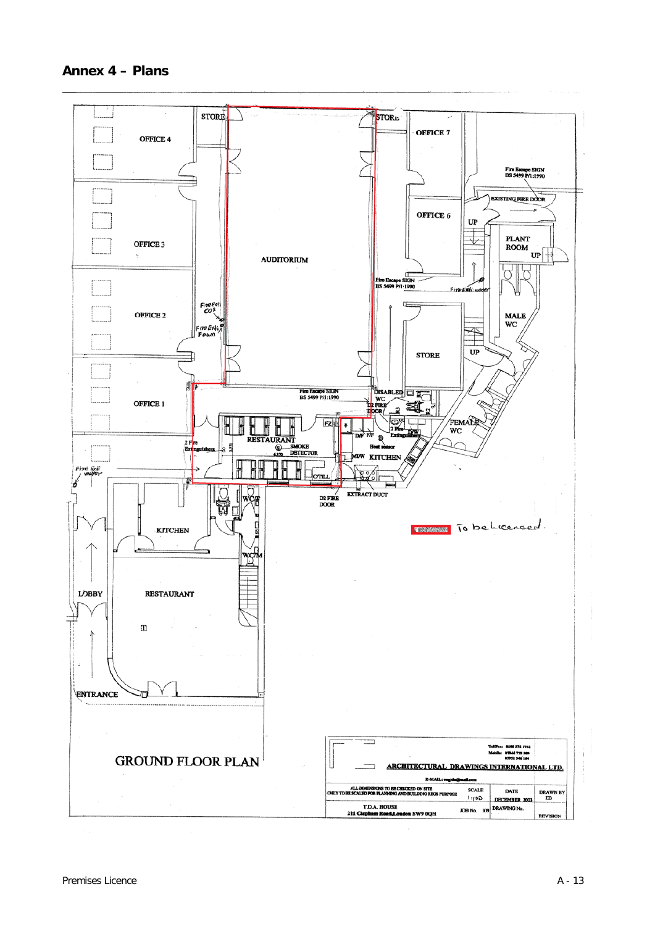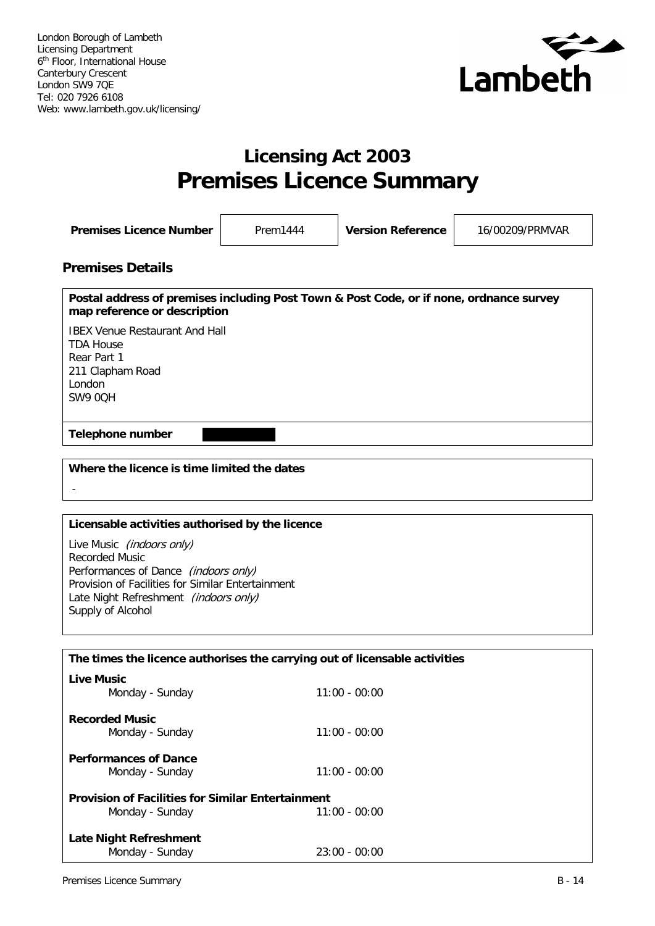

# **Licensing Act 2003 Premises Licence Summary**

**Premises Licence Number** Prem1444 **Version Reference** 16/00209/PRMVAR

# **Premises Details**

**Postal address of premises including Post Town & Post Code, or if none, ordnance survey map reference or description**

IBEX Venue Restaurant And Hall TDA House Rear Part 1 211 Clapham Road London SW9 0QH

**Telephone number**

#### **Where the licence is time limited the dates**

-

## **Licensable activities authorised by the licence**

Live Music (indoors only) Recorded Music Performances of Dance (indoors only) Provision of Facilities for Similar Entertainment Late Night Refreshment (indoors only) Supply of Alcohol

| The times the licence authorises the carrying out of licensable activities |                 |  |
|----------------------------------------------------------------------------|-----------------|--|
| <b>Live Music</b>                                                          |                 |  |
| Monday - Sunday                                                            | $11:00 - 00:00$ |  |
| <b>Recorded Music</b>                                                      |                 |  |
| Monday - Sunday                                                            | $11:00 - 00:00$ |  |
| <b>Performances of Dance</b>                                               |                 |  |
| Monday - Sunday                                                            | $11:00 - 00:00$ |  |
| <b>Provision of Facilities for Similar Entertainment</b>                   |                 |  |
| Monday - Sunday                                                            | $11:00 - 00:00$ |  |
| Late Night Refreshment                                                     |                 |  |
| Monday - Sunday                                                            | $23:00 - 00:00$ |  |